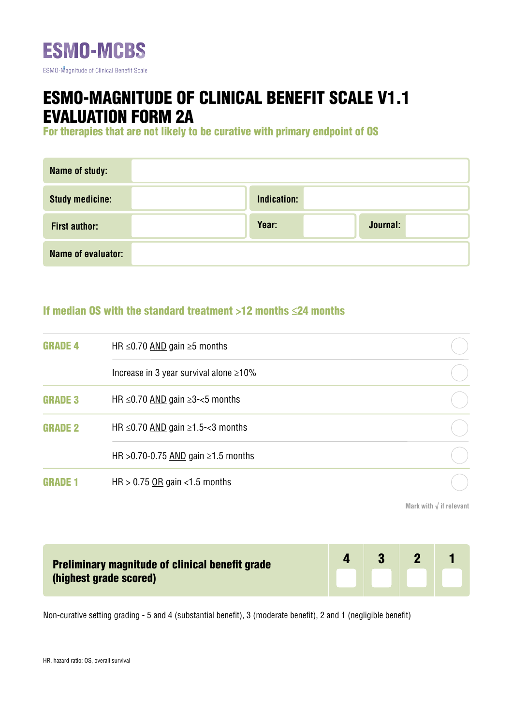

## ESMO-MAGNITUDE OF CLINICAL BENEFIT SCALE V1.1 EVALUATION FORM 2A

For therapies that are not likely to be curative with primary endpoint of OS

| <b>Name of study:</b>  |             |          |
|------------------------|-------------|----------|
| <b>Study medicine:</b> | Indication: |          |
| <b>First author:</b>   | Year:       | Journal: |
| Name of evaluator:     |             |          |

## If median OS with the standard treatment >12 months ≤24 months

| <b>GRADE 4</b> | HR $\leq$ 0.70 AND gain $\geq$ 5 months            |  |
|----------------|----------------------------------------------------|--|
|                | Increase in 3 year survival alone $\geq 10\%$      |  |
| <b>GRADE 3</b> | HR $\leq$ 0.70 AND gain $\geq$ 3- $\lt$ 5 months   |  |
| <b>GRADE 2</b> | HR $\leq$ 0.70 AND gain $\geq$ 1.5- $\lt$ 3 months |  |
|                | HR > 0.70-0.75 AND gain $\geq 1.5$ months          |  |
| .NF 1<br>GRA   | HR > $0.75$ OR gain < 1.5 months                   |  |

**Mark with √ if relevant**

| <b>Preliminary magnitude of clinical benefit grade</b><br>(highest grade scored) | $\sqrt{3}$ |  |
|----------------------------------------------------------------------------------|------------|--|
|                                                                                  |            |  |

Non-curative setting grading - 5 and 4 (substantial benefit), 3 (moderate benefit), 2 and 1 (negligible benefit)